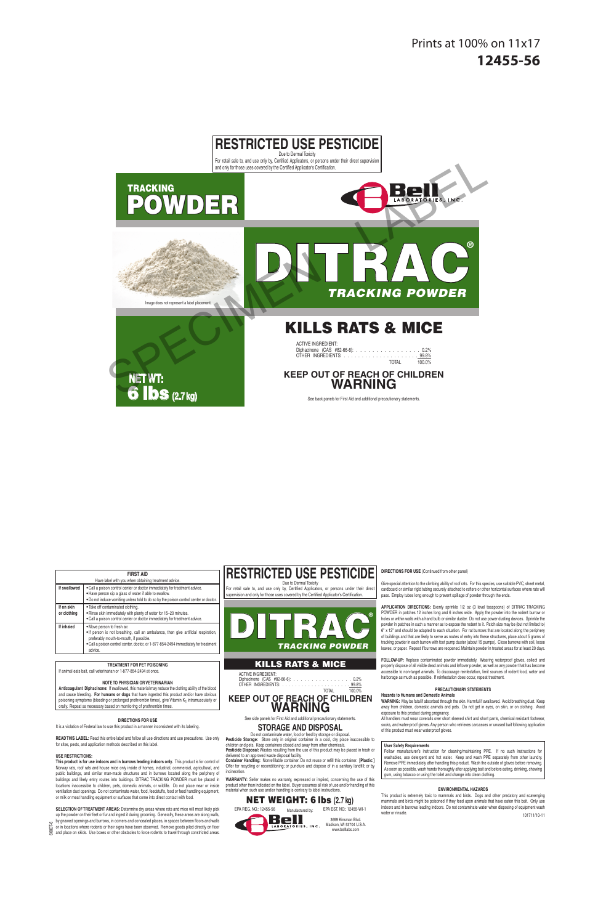**RESTRICTED USE PESTICIDE** Due to Dermal Toxicity

For retail sale to, and use only by, Certified Applicators, or persons under their direct supervision and only for those uses covered by the Certified Applicator's Certification.

# **TRACKING** POWDER



# KILLS RATS & MICE

*TRACKING POWDER*

| <b>ACTIVE INGREDIENT:</b>        |              |  |
|----------------------------------|--------------|--|
| Diphacinone (CAS #82-66-6): 0.2% |              |  |
|                                  |              |  |
|                                  | TOTAL 100.0% |  |

**KEEP OUT OF REACH OF CHILDREN WARNING**

See back panels for First Aid and additional precautionary statements.